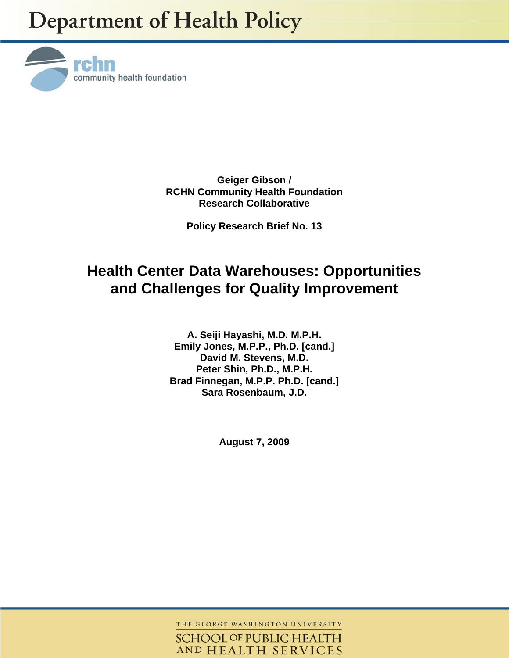

**Geiger Gibson / RCHN Community Health Foundation Research Collaborative** 

**Policy Research Brief No. 13** 

# **Health Center Data Warehouses: Opportunities and Challenges for Quality Improvement**

**A. Seiji Hayashi, M.D. M.P.H. Emily Jones, M.P.P., Ph.D. [cand.] David M. Stevens, M.D. Peter Shin, Ph.D., M.P.H. Brad Finnegan, M.P.P. Ph.D. [cand.] Sara Rosenbaum, J.D.** 

**August 7, 2009** 

THE GEORGE WASHINGTON UNIVERSITY **SCHOOL OF PUBLIC HEALTH** AND HEALTH SERVICES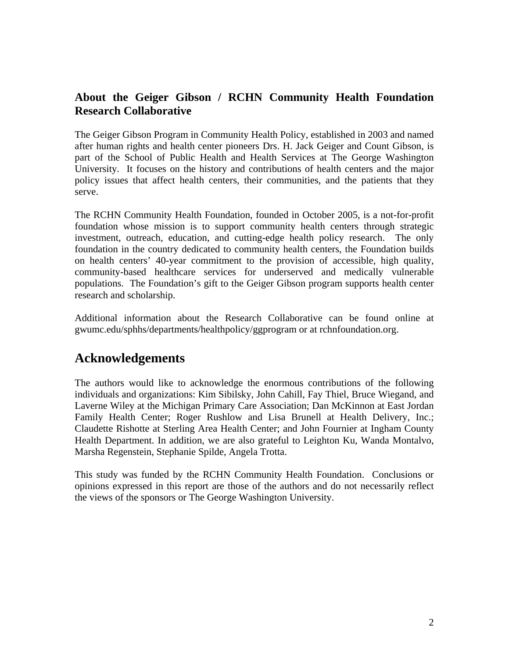# **About the Geiger Gibson / RCHN Community Health Foundation Research Collaborative**

The Geiger Gibson Program in Community Health Policy, established in 2003 and named after human rights and health center pioneers Drs. H. Jack Geiger and Count Gibson, is part of the School of Public Health and Health Services at The George Washington University. It focuses on the history and contributions of health centers and the major policy issues that affect health centers, their communities, and the patients that they serve.

The RCHN Community Health Foundation, founded in October 2005, is a not-for-profit foundation whose mission is to support community health centers through strategic investment, outreach, education, and cutting-edge health policy research. The only foundation in the country dedicated to community health centers, the Foundation builds on health centers' 40-year commitment to the provision of accessible, high quality, community-based healthcare services for underserved and medically vulnerable populations. The Foundation's gift to the Geiger Gibson program supports health center research and scholarship.

Additional information about the Research Collaborative can be found online at gwumc.edu/sphhs/departments/healthpolicy/ggprogram or at rchnfoundation.org.

# **Acknowledgements**

The authors would like to acknowledge the enormous contributions of the following individuals and organizations: Kim Sibilsky, John Cahill, Fay Thiel, Bruce Wiegand, and Laverne Wiley at the Michigan Primary Care Association; Dan McKinnon at East Jordan Family Health Center; Roger Rushlow and Lisa Brunell at Health Delivery, Inc.; Claudette Rishotte at Sterling Area Health Center; and John Fournier at Ingham County Health Department. In addition, we are also grateful to Leighton Ku, Wanda Montalvo, Marsha Regenstein, Stephanie Spilde, Angela Trotta.

This study was funded by the RCHN Community Health Foundation. Conclusions or opinions expressed in this report are those of the authors and do not necessarily reflect the views of the sponsors or The George Washington University.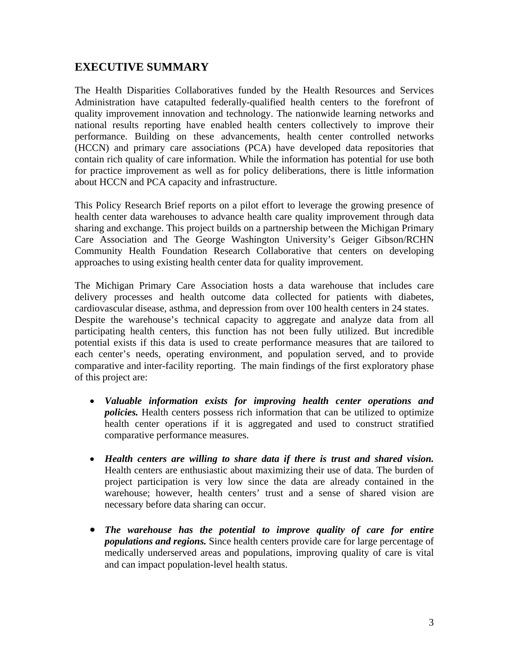## **EXECUTIVE SUMMARY**

The Health Disparities Collaboratives funded by the Health Resources and Services Administration have catapulted federally-qualified health centers to the forefront of quality improvement innovation and technology. The nationwide learning networks and national results reporting have enabled health centers collectively to improve their performance. Building on these advancements, health center controlled networks (HCCN) and primary care associations (PCA) have developed data repositories that contain rich quality of care information. While the information has potential for use both for practice improvement as well as for policy deliberations, there is little information about HCCN and PCA capacity and infrastructure.

This Policy Research Brief reports on a pilot effort to leverage the growing presence of health center data warehouses to advance health care quality improvement through data sharing and exchange. This project builds on a partnership between the Michigan Primary Care Association and The George Washington University's Geiger Gibson/RCHN Community Health Foundation Research Collaborative that centers on developing approaches to using existing health center data for quality improvement.

The Michigan Primary Care Association hosts a data warehouse that includes care delivery processes and health outcome data collected for patients with diabetes, cardiovascular disease, asthma, and depression from over 100 health centers in 24 states. Despite the warehouse's technical capacity to aggregate and analyze data from all participating health centers, this function has not been fully utilized. But incredible potential exists if this data is used to create performance measures that are tailored to each center's needs, operating environment, and population served, and to provide comparative and inter-facility reporting. The main findings of the first exploratory phase of this project are:

- *Valuable information exists for improving health center operations and policies.* Health centers possess rich information that can be utilized to optimize health center operations if it is aggregated and used to construct stratified comparative performance measures.
- *Health centers are willing to share data if there is trust and shared vision.* Health centers are enthusiastic about maximizing their use of data. The burden of project participation is very low since the data are already contained in the warehouse; however, health centers' trust and a sense of shared vision are necessary before data sharing can occur.
- *The warehouse has the potential to improve quality of care for entire populations and regions.* Since health centers provide care for large percentage of medically underserved areas and populations, improving quality of care is vital and can impact population-level health status.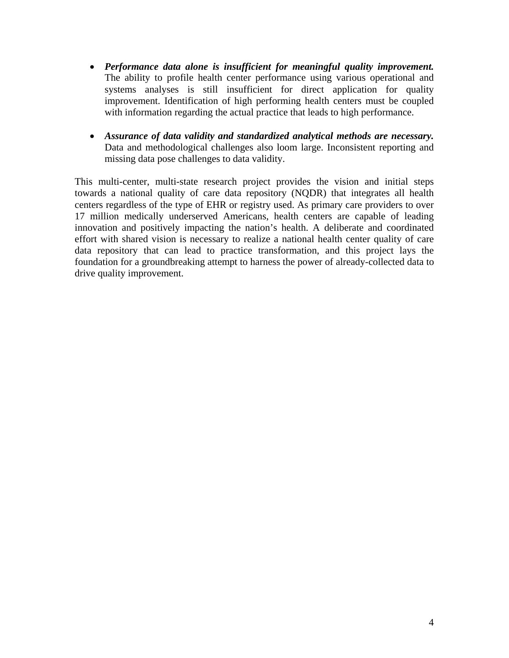- *Performance data alone is insufficient for meaningful quality improvement.* The ability to profile health center performance using various operational and systems analyses is still insufficient for direct application for quality improvement. Identification of high performing health centers must be coupled with information regarding the actual practice that leads to high performance.
- *Assurance of data validity and standardized analytical methods are necessary.*  Data and methodological challenges also loom large. Inconsistent reporting and missing data pose challenges to data validity.

This multi-center, multi-state research project provides the vision and initial steps towards a national quality of care data repository (NQDR) that integrates all health centers regardless of the type of EHR or registry used. As primary care providers to over 17 million medically underserved Americans, health centers are capable of leading innovation and positively impacting the nation's health. A deliberate and coordinated effort with shared vision is necessary to realize a national health center quality of care data repository that can lead to practice transformation, and this project lays the foundation for a groundbreaking attempt to harness the power of already-collected data to drive quality improvement.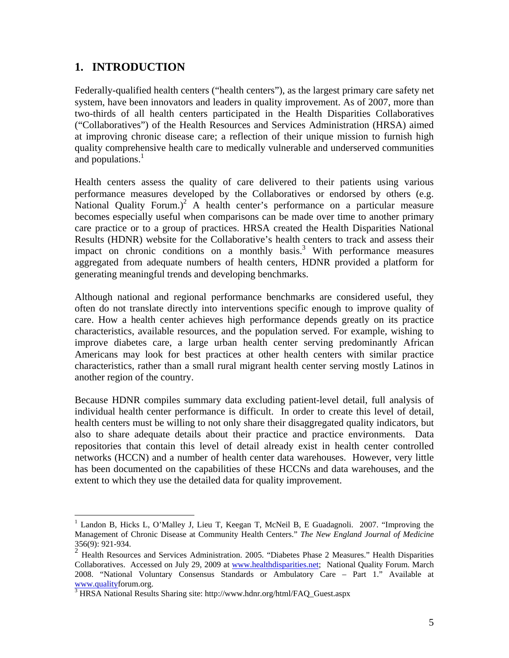### **1. INTRODUCTION**

 $\overline{a}$ 

Federally-qualified health centers ("health centers"), as the largest primary care safety net system, have been innovators and leaders in quality improvement. As of 2007, more than two-thirds of all health centers participated in the Health Disparities Collaboratives ("Collaboratives") of the Health Resources and Services Administration (HRSA) aimed at improving chronic disease care; a reflection of their unique mission to furnish high quality comprehensive health care to medically vulnerable and underserved communities and populations.<sup>1</sup>

Health centers assess the quality of care delivered to their patients using various performance measures developed by the Collaboratives or endorsed by others (e.g. National Quality Forum.)<sup>2</sup> A health center's performance on a particular measure becomes especially useful when comparisons can be made over time to another primary care practice or to a group of practices. HRSA created the Health Disparities National Results (HDNR) website for the Collaborative's health centers to track and assess their impact on chronic conditions on a monthly basis.<sup>3</sup> With performance measures aggregated from adequate numbers of health centers, HDNR provided a platform for generating meaningful trends and developing benchmarks.

Although national and regional performance benchmarks are considered useful, they often do not translate directly into interventions specific enough to improve quality of care. How a health center achieves high performance depends greatly on its practice characteristics, available resources, and the population served. For example, wishing to improve diabetes care, a large urban health center serving predominantly African Americans may look for best practices at other health centers with similar practice characteristics, rather than a small rural migrant health center serving mostly Latinos in another region of the country.

Because HDNR compiles summary data excluding patient-level detail, full analysis of individual health center performance is difficult. In order to create this level of detail, health centers must be willing to not only share their disaggregated quality indicators, but also to share adequate details about their practice and practice environments. Data repositories that contain this level of detail already exist in health center controlled networks (HCCN) and a number of health center data warehouses. However, very little has been documented on the capabilities of these HCCNs and data warehouses, and the extent to which they use the detailed data for quality improvement.

<sup>&</sup>lt;sup>1</sup> Landon B, Hicks L, O'Malley J, Lieu T, Keegan T, McNeil B, E Guadagnoli. 2007. "Improving the Management of Chronic Disease at Community Health Centers." *The New England Journal of Medicine* 356(9): 921-934.

<sup>&</sup>lt;sup>2</sup> Health Resources and Services Administration. 2005. "Diabetes Phase 2 Measures." Health Disparities Collaboratives. Accessed on July 29, 2009 at www.healthdisparities.net; National Quality Forum. March 2008. "National Voluntary Consensus Standards or Ambulatory Care – Part 1." Available at www.qualityforum.org.<br><sup>3</sup> HRSA National Results Sharing site: http://www.hdnr.org/html/FAQ\_Guest.aspx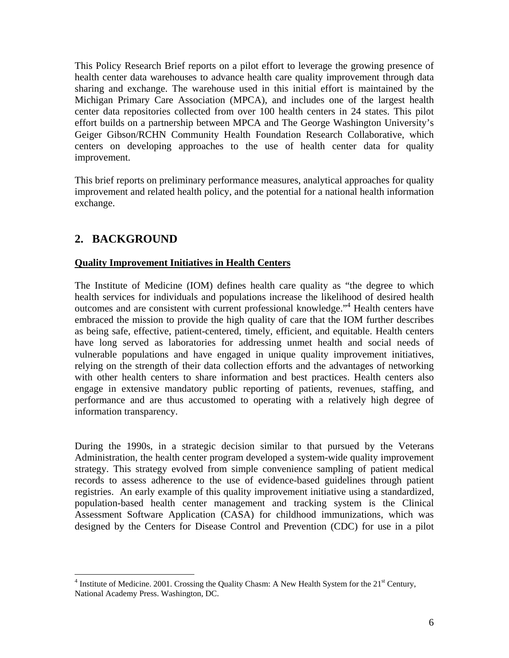This Policy Research Brief reports on a pilot effort to leverage the growing presence of health center data warehouses to advance health care quality improvement through data sharing and exchange. The warehouse used in this initial effort is maintained by the Michigan Primary Care Association (MPCA), and includes one of the largest health center data repositories collected from over 100 health centers in 24 states. This pilot effort builds on a partnership between MPCA and The George Washington University's Geiger Gibson/RCHN Community Health Foundation Research Collaborative, which centers on developing approaches to the use of health center data for quality improvement.

This brief reports on preliminary performance measures, analytical approaches for quality improvement and related health policy, and the potential for a national health information exchange.

# **2. BACKGROUND**

 $\overline{a}$ 

### **Quality Improvement Initiatives in Health Centers**

The Institute of Medicine (IOM) defines health care quality as "the degree to which health services for individuals and populations increase the likelihood of desired health outcomes and are consistent with current professional knowledge."<sup>4</sup> Health centers have embraced the mission to provide the high quality of care that the IOM further describes as being safe, effective, patient-centered, timely, efficient, and equitable. Health centers have long served as laboratories for addressing unmet health and social needs of vulnerable populations and have engaged in unique quality improvement initiatives, relying on the strength of their data collection efforts and the advantages of networking with other health centers to share information and best practices. Health centers also engage in extensive mandatory public reporting of patients, revenues, staffing, and performance and are thus accustomed to operating with a relatively high degree of information transparency.

During the 1990s, in a strategic decision similar to that pursued by the Veterans Administration, the health center program developed a system-wide quality improvement strategy. This strategy evolved from simple convenience sampling of patient medical records to assess adherence to the use of evidence-based guidelines through patient registries. An early example of this quality improvement initiative using a standardized, population-based health center management and tracking system is the Clinical Assessment Software Application (CASA) for childhood immunizations, which was designed by the Centers for Disease Control and Prevention (CDC) for use in a pilot

<sup>&</sup>lt;sup>4</sup> Institute of Medicine. 2001. Crossing the Quality Chasm: A New Health System for the  $21<sup>st</sup>$  Century, National Academy Press. Washington, DC.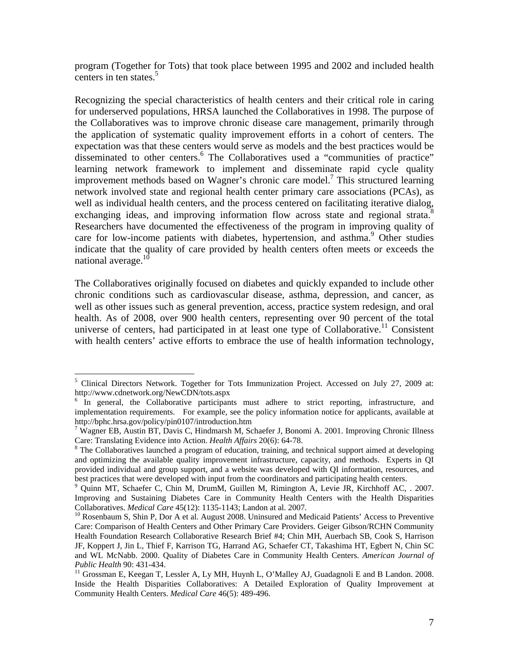program (Together for Tots) that took place between 1995 and 2002 and included health centers in ten states. $5$ 

Recognizing the special characteristics of health centers and their critical role in caring for underserved populations, HRSA launched the Collaboratives in 1998. The purpose of the Collaboratives was to improve chronic disease care management, primarily through the application of systematic quality improvement efforts in a cohort of centers. The expectation was that these centers would serve as models and the best practices would be disseminated to other centers.<sup>6</sup> The Collaboratives used a "communities of practice" learning network framework to implement and disseminate rapid cycle quality improvement methods based on Wagner's chronic care model.7 This structured learning network involved state and regional health center primary care associations (PCAs), as well as individual health centers, and the process centered on facilitating iterative dialog, exchanging ideas, and improving information flow across state and regional strata.<sup>8</sup> Researchers have documented the effectiveness of the program in improving quality of care for low-income patients with diabetes, hypertension, and asthma.<sup>9</sup> Other studies indicate that the quality of care provided by health centers often meets or exceeds the national average.<sup>10</sup>

The Collaboratives originally focused on diabetes and quickly expanded to include other chronic conditions such as cardiovascular disease, asthma, depression, and cancer, as well as other issues such as general prevention, access, practice system redesign, and oral health. As of 2008, over 900 health centers, representing over 90 percent of the total universe of centers, had participated in at least one type of Collaborative.<sup>11</sup> Consistent with health centers' active efforts to embrace the use of health information technology,

<sup>&</sup>lt;sup>5</sup> Clinical Directors Network. Together for Tots Immunization Project. Accessed on July 27, 2009 at: http://www.cdnetwork.org/NewCDN/tots.aspx 6

 $6$  In general, the Collaborative participants must adhere to strict reporting, infrastructure, and implementation requirements. For example, see the policy information notice for applicants, available at http://bphc.hrsa.gov/policy/pin0107/introduction.htm

<sup>&</sup>lt;sup>7</sup> Wagner EB, Austin BT, Davis C, Hindmarsh M, Schaefer J, Bonomi A. 2001. Improving Chronic Illness Care: Translating Evidence into Action. *Health Affairs* 20(6): 64-78.

<sup>&</sup>lt;sup>8</sup> The Collaboratives launched a program of education, training, and technical support aimed at developing and optimizing the available quality improvement infrastructure, capacity, and methods. Experts in QI provided individual and group support, and a website was developed with QI information, resources, and best practices that were developed with input from the coordinators and participating health centers.

<sup>9</sup> Quinn MT, Schaefer C, Chin M, DrumM, Guillen M, Rimington A, Levie JR, Kirchhoff AC, . 2007. Improving and Sustaining Diabetes Care in Community Health Centers with the Health Disparities Collaboratives. *Medical Care* 45(12): 1135-1143; Landon at al. 2007.<br><sup>10</sup> Rosenbaum S, Shin P, Dor A et al. August 2008. Uninsured and Medicaid Patients' Access to Preventive

Care: Comparison of Health Centers and Other Primary Care Providers. Geiger Gibson/RCHN Community Health Foundation Research Collaborative Research Brief #4; Chin MH, Auerbach SB, Cook S, Harrison JF, Koppert J, Jin L, Thief F, Karrison TG, Harrand AG, Schaefer CT, Takashima HT, Egbert N, Chin SC and WL McNabb. 2000. Quality of Diabetes Care in Community Health Centers. *American Journal of Public Health* 90: 431-434.<br><sup>11</sup> Grossman E, Keegan T, Lessler A, Ly MH, Huynh L, O'Malley AJ, Guadagnoli E and B Landon. 2008.

Inside the Health Disparities Collaboratives: A Detailed Exploration of Quality Improvement at Community Health Centers. *Medical Care* 46(5): 489-496.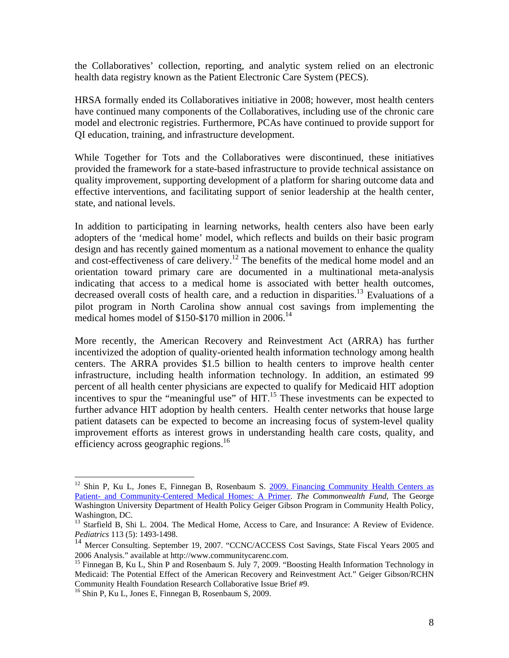the Collaboratives' collection, reporting, and analytic system relied on an electronic health data registry known as the Patient Electronic Care System (PECS).

HRSA formally ended its Collaboratives initiative in 2008; however, most health centers have continued many components of the Collaboratives, including use of the chronic care model and electronic registries. Furthermore, PCAs have continued to provide support for QI education, training, and infrastructure development.

While Together for Tots and the Collaboratives were discontinued, these initiatives provided the framework for a state-based infrastructure to provide technical assistance on quality improvement, supporting development of a platform for sharing outcome data and effective interventions, and facilitating support of senior leadership at the health center, state, and national levels.

In addition to participating in learning networks, health centers also have been early adopters of the 'medical home' model, which reflects and builds on their basic program design and has recently gained momentum as a national movement to enhance the quality and cost-effectiveness of care delivery.<sup>12</sup> The benefits of the medical home model and an orientation toward primary care are documented in a multinational meta-analysis indicating that access to a medical home is associated with better health outcomes, decreased overall costs of health care, and a reduction in disparities.<sup>13</sup> Evaluations of a pilot program in North Carolina show annual cost savings from implementing the medical homes model of  $$150-$170$  million in 2006.<sup>14</sup>

More recently, the American Recovery and Reinvestment Act (ARRA) has further incentivized the adoption of quality-oriented health information technology among health centers. The ARRA provides \$1.5 billion to health centers to improve health center infrastructure, including health information technology. In addition, an estimated 99 percent of all health center physicians are expected to qualify for Medicaid HIT adoption incentives to spur the "meaningful use" of HIT.<sup>15</sup> These investments can be expected to further advance HIT adoption by health centers. Health center networks that house large patient datasets can be expected to become an increasing focus of system-level quality improvement efforts as interest grows in understanding health care costs, quality, and efficiency across geographic regions.<sup>16</sup>

<sup>&</sup>lt;sup>12</sup> Shin P, Ku L, Jones E, Finnegan B, Rosenbaum S. 2009. Financing Community Health Centers as Patient- and Community-Centered Medical Homes: A Primer. *The Commonwealth Fund*, The George Washington University Department of Health Policy Geiger Gibson Program in Community Health Policy, Washington, DC.

<sup>&</sup>lt;sup>13</sup> Starfield B, Shi L. 2004. The Medical Home, Access to Care, and Insurance: A Review of Evidence. *Pediatrics* 113 (5): 1493-1498.

<sup>&</sup>lt;sup>14</sup> Mercer Consulting. September 19, 2007. "CCNC/ACCESS Cost Savings, State Fiscal Years 2005 and

<sup>2006</sup> Analysis." available at http://www.communitycarenc.com. 15 Finnegan B, Ku L, Shin P and Rosenbaum S. July 7, 2009. "Boosting Health Information Technology in Medicaid: The Potential Effect of the American Recovery and Reinvestment Act." Geiger Gibson/RCHN Community Health Foundation Research Collaborative Issue Brief #9.

<sup>&</sup>lt;sup>16</sup> Shin P, Ku L, Jones E, Finnegan B, Rosenbaum S, 2009.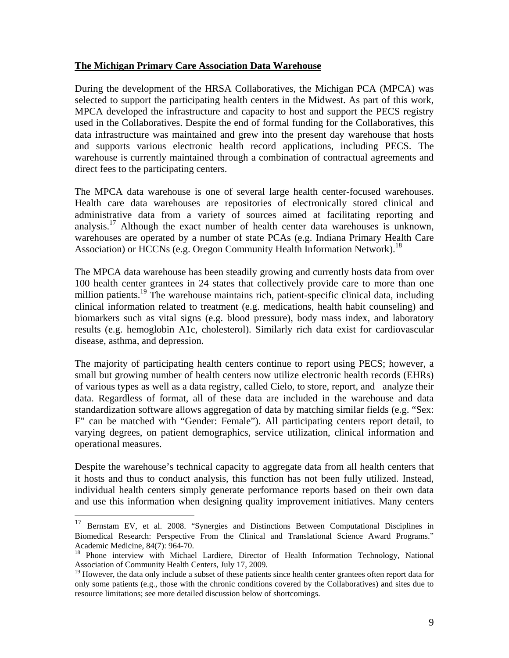#### **The Michigan Primary Care Association Data Warehouse**

During the development of the HRSA Collaboratives, the Michigan PCA (MPCA) was selected to support the participating health centers in the Midwest. As part of this work, MPCA developed the infrastructure and capacity to host and support the PECS registry used in the Collaboratives. Despite the end of formal funding for the Collaboratives, this data infrastructure was maintained and grew into the present day warehouse that hosts and supports various electronic health record applications, including PECS. The warehouse is currently maintained through a combination of contractual agreements and direct fees to the participating centers.

The MPCA data warehouse is one of several large health center-focused warehouses. Health care data warehouses are repositories of electronically stored clinical and administrative data from a variety of sources aimed at facilitating reporting and analysis.<sup>17</sup> Although the exact number of health center data warehouses is unknown, warehouses are operated by a number of state PCAs (e.g. Indiana Primary Health Care Association) or HCCNs (e.g. Oregon Community Health Information Network).<sup>18</sup>

The MPCA data warehouse has been steadily growing and currently hosts data from over 100 health center grantees in 24 states that collectively provide care to more than one million patients.<sup>19</sup> The warehouse maintains rich, patient-specific clinical data, including clinical information related to treatment (e.g. medications, health habit counseling) and biomarkers such as vital signs (e.g. blood pressure), body mass index, and laboratory results (e.g. hemoglobin A1c, cholesterol). Similarly rich data exist for cardiovascular disease, asthma, and depression.

The majority of participating health centers continue to report using PECS; however, a small but growing number of health centers now utilize electronic health records (EHRs) of various types as well as a data registry, called Cielo, to store, report, and analyze their data. Regardless of format, all of these data are included in the warehouse and data standardization software allows aggregation of data by matching similar fields (e.g. "Sex: F" can be matched with "Gender: Female"). All participating centers report detail, to varying degrees, on patient demographics, service utilization, clinical information and operational measures.

Despite the warehouse's technical capacity to aggregate data from all health centers that it hosts and thus to conduct analysis, this function has not been fully utilized. Instead, individual health centers simply generate performance reports based on their own data and use this information when designing quality improvement initiatives. Many centers

<sup>&</sup>lt;sup>17</sup> Bernstam EV, et al. 2008. "Synergies and Distinctions Between Computational Disciplines in Biomedical Research: Perspective From the Clinical and Translational Science Award Programs."

Academic Medicine, 84(7): 964-70.<br><sup>18</sup> Phone interview with Michael Lardiere, Director of Health Information Technology, National Association of Community Health Centers, July 17, 2009.

<sup>&</sup>lt;sup>19</sup> However, the data only include a subset of these patients since health center grantees often report data for only some patients (e.g., those with the chronic conditions covered by the Collaboratives) and sites due to resource limitations; see more detailed discussion below of shortcomings.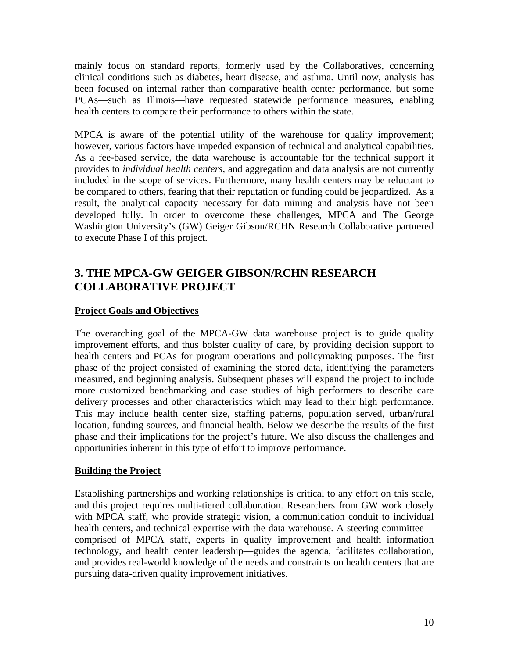mainly focus on standard reports, formerly used by the Collaboratives, concerning clinical conditions such as diabetes, heart disease, and asthma. Until now, analysis has been focused on internal rather than comparative health center performance, but some PCAs—such as Illinois—have requested statewide performance measures, enabling health centers to compare their performance to others within the state.

MPCA is aware of the potential utility of the warehouse for quality improvement; however, various factors have impeded expansion of technical and analytical capabilities. As a fee-based service, the data warehouse is accountable for the technical support it provides to *individual health centers*, and aggregation and data analysis are not currently included in the scope of services. Furthermore, many health centers may be reluctant to be compared to others, fearing that their reputation or funding could be jeopardized. As a result, the analytical capacity necessary for data mining and analysis have not been developed fully. In order to overcome these challenges, MPCA and The George Washington University's (GW) Geiger Gibson/RCHN Research Collaborative partnered to execute Phase I of this project.

### **3. THE MPCA-GW GEIGER GIBSON/RCHN RESEARCH COLLABORATIVE PROJECT**

#### **Project Goals and Objectives**

The overarching goal of the MPCA-GW data warehouse project is to guide quality improvement efforts, and thus bolster quality of care, by providing decision support to health centers and PCAs for program operations and policymaking purposes. The first phase of the project consisted of examining the stored data, identifying the parameters measured, and beginning analysis. Subsequent phases will expand the project to include more customized benchmarking and case studies of high performers to describe care delivery processes and other characteristics which may lead to their high performance. This may include health center size, staffing patterns, population served, urban/rural location, funding sources, and financial health. Below we describe the results of the first phase and their implications for the project's future. We also discuss the challenges and opportunities inherent in this type of effort to improve performance.

#### **Building the Project**

Establishing partnerships and working relationships is critical to any effort on this scale, and this project requires multi-tiered collaboration. Researchers from GW work closely with MPCA staff, who provide strategic vision, a communication conduit to individual health centers, and technical expertise with the data warehouse. A steering committee comprised of MPCA staff, experts in quality improvement and health information technology, and health center leadership—guides the agenda, facilitates collaboration, and provides real-world knowledge of the needs and constraints on health centers that are pursuing data-driven quality improvement initiatives.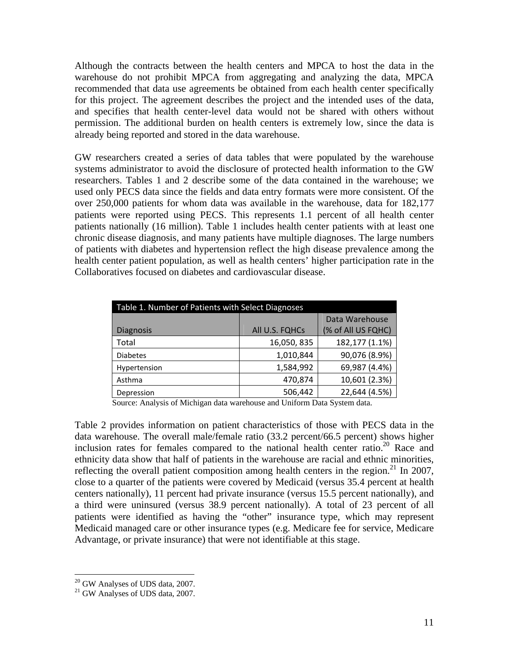Although the contracts between the health centers and MPCA to host the data in the warehouse do not prohibit MPCA from aggregating and analyzing the data, MPCA recommended that data use agreements be obtained from each health center specifically for this project. The agreement describes the project and the intended uses of the data, and specifies that health center-level data would not be shared with others without permission. The additional burden on health centers is extremely low, since the data is already being reported and stored in the data warehouse.

GW researchers created a series of data tables that were populated by the warehouse systems administrator to avoid the disclosure of protected health information to the GW researchers. Tables 1 and 2 describe some of the data contained in the warehouse; we used only PECS data since the fields and data entry formats were more consistent. Of the over 250,000 patients for whom data was available in the warehouse, data for 182,177 patients were reported using PECS. This represents 1.1 percent of all health center patients nationally (16 million). Table 1 includes health center patients with at least one chronic disease diagnosis, and many patients have multiple diagnoses. The large numbers of patients with diabetes and hypertension reflect the high disease prevalence among the health center patient population, as well as health centers' higher participation rate in the Collaboratives focused on diabetes and cardiovascular disease.

| Table 1. Number of Patients with Select Diagnoses |                |                    |  |  |  |
|---------------------------------------------------|----------------|--------------------|--|--|--|
|                                                   |                | Data Warehouse     |  |  |  |
| <b>Diagnosis</b>                                  | All U.S. FQHCs | (% of All US FQHC) |  |  |  |
| Total                                             | 16,050,835     | 182,177 (1.1%)     |  |  |  |
| <b>Diabetes</b>                                   | 1,010,844      | 90,076 (8.9%)      |  |  |  |
| Hypertension                                      | 1,584,992      | 69,987 (4.4%)      |  |  |  |
| Asthma                                            | 470,874        | 10,601 (2.3%)      |  |  |  |
| Depression                                        | 506,442        | 22,644 (4.5%)      |  |  |  |

Source: Analysis of Michigan data warehouse and Uniform Data System data.

Table 2 provides information on patient characteristics of those with PECS data in the data warehouse. The overall male/female ratio (33.2 percent/66.5 percent) shows higher inclusion rates for females compared to the national health center ratio.20 Race and ethnicity data show that half of patients in the warehouse are racial and ethnic minorities, reflecting the overall patient composition among health centers in the region.<sup>21</sup> In 2007, close to a quarter of the patients were covered by Medicaid (versus 35.4 percent at health centers nationally), 11 percent had private insurance (versus 15.5 percent nationally), and a third were uninsured (versus 38.9 percent nationally). A total of 23 percent of all patients were identified as having the "other" insurance type, which may represent Medicaid managed care or other insurance types (e.g. Medicare fee for service, Medicare Advantage, or private insurance) that were not identifiable at this stage.

1

 $20$  GW Analyses of UDS data, 2007.

<sup>&</sup>lt;sup>21</sup> GW Analyses of UDS data, 2007.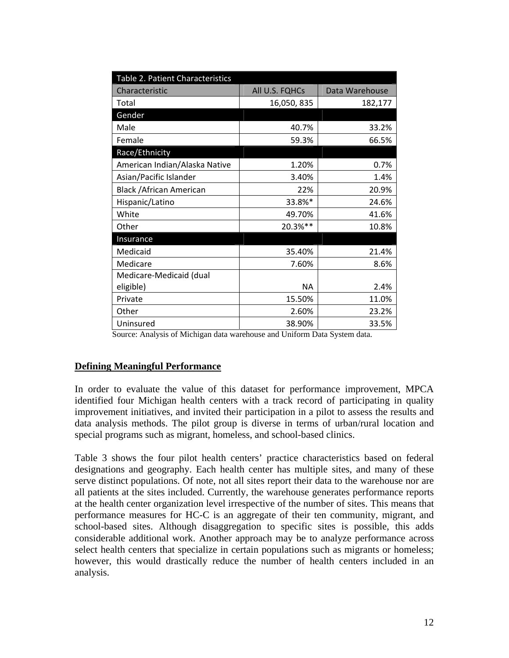| Table 2. Patient Characteristics |                |                |
|----------------------------------|----------------|----------------|
| Characteristic                   | All U.S. FQHCs | Data Warehouse |
| Total                            | 16,050, 835    | 182,177        |
| Gender                           |                |                |
| Male                             | 40.7%          | 33.2%          |
| Female                           | 59.3%          | 66.5%          |
| Race/Ethnicity                   |                |                |
| American Indian/Alaska Native    | 1.20%          | 0.7%           |
| Asian/Pacific Islander           | 3.40%          | 1.4%           |
| <b>Black / African American</b>  | 22%            | 20.9%          |
| Hispanic/Latino                  | 33.8%*         | 24.6%          |
| White                            | 49.70%         | 41.6%          |
| Other                            | 20.3%**        | 10.8%          |
| Insurance                        |                |                |
| Medicaid                         | 35.40%         | 21.4%          |
| Medicare                         | 7.60%          | 8.6%           |
| Medicare-Medicaid (dual          |                |                |
| eligible)                        | NА             | 2.4%           |
| Private                          | 15.50%         | 11.0%          |
| Other                            | 2.60%          | 23.2%          |
| Uninsured                        | 38.90%         | 33.5%          |

Source: Analysis of Michigan data warehouse and Uniform Data System data.

#### **Defining Meaningful Performance**

In order to evaluate the value of this dataset for performance improvement, MPCA identified four Michigan health centers with a track record of participating in quality improvement initiatives, and invited their participation in a pilot to assess the results and data analysis methods. The pilot group is diverse in terms of urban/rural location and special programs such as migrant, homeless, and school-based clinics.

Table 3 shows the four pilot health centers' practice characteristics based on federal designations and geography. Each health center has multiple sites, and many of these serve distinct populations. Of note, not all sites report their data to the warehouse nor are all patients at the sites included. Currently, the warehouse generates performance reports at the health center organization level irrespective of the number of sites. This means that performance measures for HC-C is an aggregate of their ten community, migrant, and school-based sites. Although disaggregation to specific sites is possible, this adds considerable additional work. Another approach may be to analyze performance across select health centers that specialize in certain populations such as migrants or homeless; however, this would drastically reduce the number of health centers included in an analysis.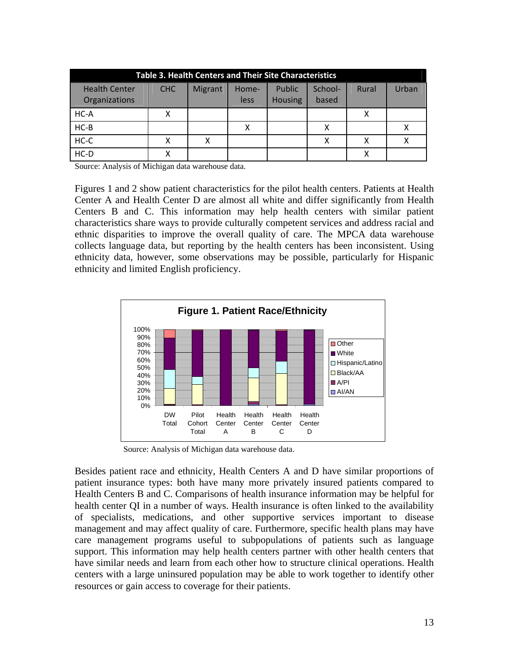| <b>Table 3. Health Centers and Their Site Characteristics</b> |     |         |               |                          |                  |       |       |
|---------------------------------------------------------------|-----|---------|---------------|--------------------------|------------------|-------|-------|
| <b>Health Center</b><br>Organizations                         | CHC | Migrant | Home-<br>less | Public<br><b>Housing</b> | School-<br>based | Rural | Urban |
| $HC-A$                                                        | x   |         |               |                          |                  | х     |       |
| $HC-B$                                                        |     |         |               |                          |                  |       |       |
| $HC-C$                                                        | x   | x       |               |                          | х                |       |       |
| $HC-D$                                                        | х   |         |               |                          |                  |       |       |

Source: Analysis of Michigan data warehouse data.

Figures 1 and 2 show patient characteristics for the pilot health centers. Patients at Health Center A and Health Center D are almost all white and differ significantly from Health Centers B and C. This information may help health centers with similar patient characteristics share ways to provide culturally competent services and address racial and ethnic disparities to improve the overall quality of care. The MPCA data warehouse collects language data, but reporting by the health centers has been inconsistent. Using ethnicity data, however, some observations may be possible, particularly for Hispanic ethnicity and limited English proficiency.



Source: Analysis of Michigan data warehouse data.

Besides patient race and ethnicity, Health Centers A and D have similar proportions of patient insurance types: both have many more privately insured patients compared to Health Centers B and C. Comparisons of health insurance information may be helpful for health center QI in a number of ways. Health insurance is often linked to the availability of specialists, medications, and other supportive services important to disease management and may affect quality of care. Furthermore, specific health plans may have care management programs useful to subpopulations of patients such as language support. This information may help health centers partner with other health centers that have similar needs and learn from each other how to structure clinical operations. Health centers with a large uninsured population may be able to work together to identify other resources or gain access to coverage for their patients.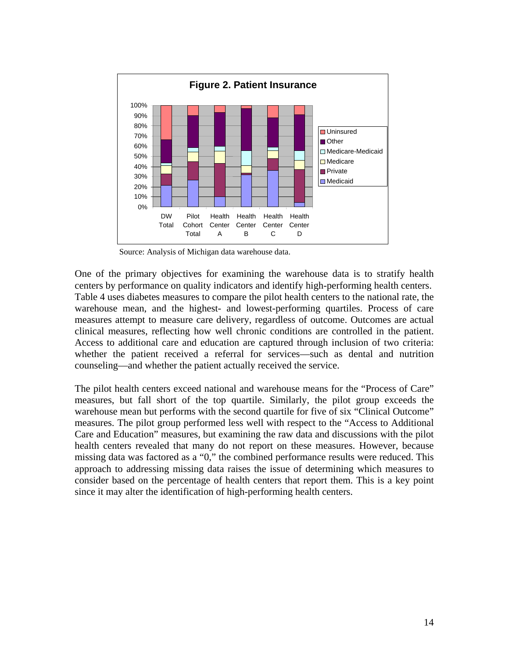

Source: Analysis of Michigan data warehouse data.

One of the primary objectives for examining the warehouse data is to stratify health centers by performance on quality indicators and identify high-performing health centers. Table 4 uses diabetes measures to compare the pilot health centers to the national rate, the warehouse mean, and the highest- and lowest-performing quartiles. Process of care measures attempt to measure care delivery, regardless of outcome. Outcomes are actual clinical measures, reflecting how well chronic conditions are controlled in the patient. Access to additional care and education are captured through inclusion of two criteria: whether the patient received a referral for services—such as dental and nutrition counseling—and whether the patient actually received the service.

The pilot health centers exceed national and warehouse means for the "Process of Care" measures, but fall short of the top quartile. Similarly, the pilot group exceeds the warehouse mean but performs with the second quartile for five of six "Clinical Outcome" measures. The pilot group performed less well with respect to the "Access to Additional Care and Education" measures, but examining the raw data and discussions with the pilot health centers revealed that many do not report on these measures. However, because missing data was factored as a "0," the combined performance results were reduced. This approach to addressing missing data raises the issue of determining which measures to consider based on the percentage of health centers that report them. This is a key point since it may alter the identification of high-performing health centers.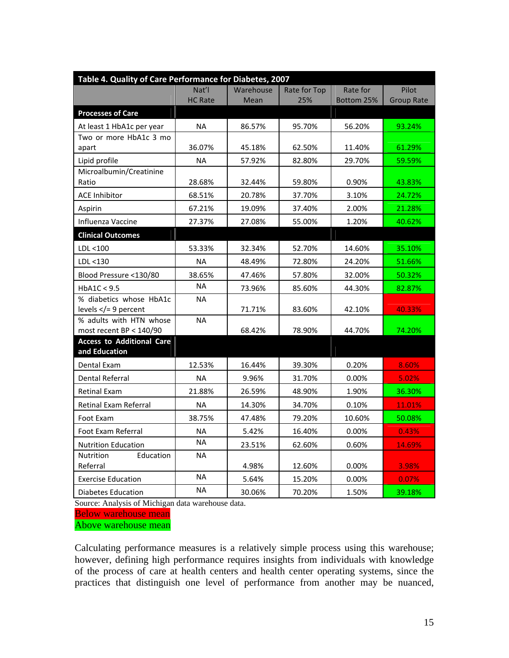| Table 4. Quality of Care Performance for Diabetes, 2007 |                |           |              |            |                   |
|---------------------------------------------------------|----------------|-----------|--------------|------------|-------------------|
|                                                         | Nat'l          | Warehouse | Rate for Top | Rate for   | Pilot             |
|                                                         | <b>HC Rate</b> | Mean      | 25%          | Bottom 25% | <b>Group Rate</b> |
| <b>Processes of Care</b>                                |                |           |              |            |                   |
| At least 1 HbA1c per year                               | <b>NA</b>      | 86.57%    | 95.70%       | 56.20%     | 93.24%            |
| Two or more HbA1c 3 mo                                  |                |           |              |            |                   |
| apart                                                   | 36.07%         | 45.18%    | 62.50%       | 11.40%     | 61.29%            |
| Lipid profile                                           | <b>NA</b>      | 57.92%    | 82.80%       | 29.70%     | 59.59%            |
| Microalbumin/Creatinine<br>Ratio                        | 28.68%         | 32.44%    | 59.80%       | 0.90%      | 43.83%            |
|                                                         |                |           |              |            |                   |
| <b>ACE Inhibitor</b>                                    | 68.51%         | 20.78%    | 37.70%       | 3.10%      | 24.72%            |
| Aspirin                                                 | 67.21%         | 19.09%    | 37.40%       | 2.00%      | 21.28%            |
| Influenza Vaccine                                       | 27.37%         | 27.08%    | 55.00%       | 1.20%      | 40.62%            |
| <b>Clinical Outcomes</b>                                |                |           |              |            |                   |
| LDL <100                                                | 53.33%         | 32.34%    | 52.70%       | 14.60%     | 35.10%            |
| LDL < 130                                               | <b>NA</b>      | 48.49%    | 72.80%       | 24.20%     | 51.66%            |
| Blood Pressure <130/80                                  | 38.65%         | 47.46%    | 57.80%       | 32.00%     | 50.32%            |
| HbA1C < 9.5                                             | <b>NA</b>      | 73.96%    | 85.60%       | 44.30%     | 82.87%            |
| % diabetics whose HbA1c                                 | <b>NA</b>      |           |              |            |                   |
| levels $\lt/=9$ percent                                 |                | 71.71%    | 83.60%       | 42.10%     | 40.33%            |
| % adults with HTN whose<br>most recent BP < 140/90      | <b>NA</b>      | 68.42%    | 78.90%       | 44.70%     |                   |
| <b>Access to Additional Care</b>                        |                |           |              |            | 74.20%            |
| and Education                                           |                |           |              |            |                   |
| Dental Exam                                             | 12.53%         | 16.44%    | 39.30%       | 0.20%      | 8.60%             |
| <b>Dental Referral</b>                                  | <b>NA</b>      | 9.96%     | 31.70%       | 0.00%      | 5.02%             |
| <b>Retinal Exam</b>                                     | 21.88%         | 26.59%    | 48.90%       | 1.90%      | 36.30%            |
| <b>Retinal Exam Referral</b>                            | <b>NA</b>      | 14.30%    | 34.70%       | 0.10%      | 11.01%            |
| Foot Exam                                               | 38.75%         | 47.48%    | 79.20%       | 10.60%     | 50.08%            |
| <b>Foot Exam Referral</b>                               | <b>NA</b>      | 5.42%     | 16.40%       | 0.00%      | 0.43%             |
| <b>Nutrition Education</b>                              | NA.            | 23.51%    | 62.60%       | 0.60%      | 14.69%            |
| Education<br><b>Nutrition</b>                           | <b>NA</b>      |           |              |            |                   |
| Referral                                                |                | 4.98%     | 12.60%       | 0.00%      | 3.98%             |
| <b>Exercise Education</b>                               | <b>NA</b>      | 5.64%     | 15.20%       | 0.00%      | 0.07%             |
| <b>Diabetes Education</b>                               | <b>NA</b>      | 30.06%    | 70.20%       | 1.50%      | 39.18%            |

Source: Analysis of Michigan data warehouse data.

Below warehouse mean

Above warehouse mean

Calculating performance measures is a relatively simple process using this warehouse; however, defining high performance requires insights from individuals with knowledge of the process of care at health centers and health center operating systems, since the practices that distinguish one level of performance from another may be nuanced,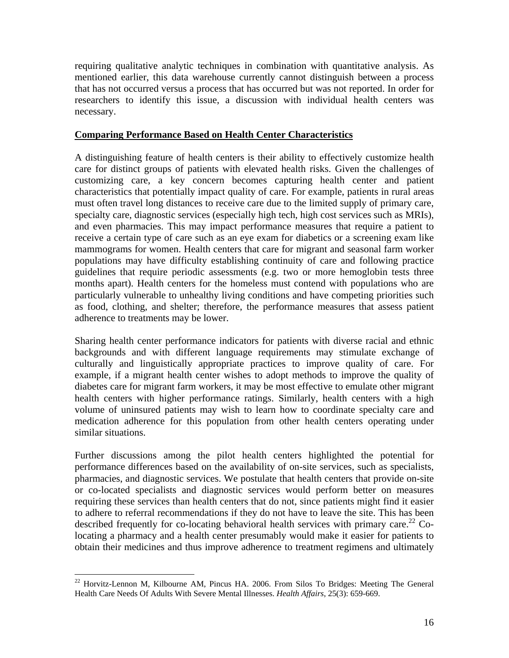requiring qualitative analytic techniques in combination with quantitative analysis. As mentioned earlier, this data warehouse currently cannot distinguish between a process that has not occurred versus a process that has occurred but was not reported. In order for researchers to identify this issue, a discussion with individual health centers was necessary.

### **Comparing Performance Based on Health Center Characteristics**

A distinguishing feature of health centers is their ability to effectively customize health care for distinct groups of patients with elevated health risks. Given the challenges of customizing care, a key concern becomes capturing health center and patient characteristics that potentially impact quality of care. For example, patients in rural areas must often travel long distances to receive care due to the limited supply of primary care, specialty care, diagnostic services (especially high tech, high cost services such as MRIs), and even pharmacies. This may impact performance measures that require a patient to receive a certain type of care such as an eye exam for diabetics or a screening exam like mammograms for women. Health centers that care for migrant and seasonal farm worker populations may have difficulty establishing continuity of care and following practice guidelines that require periodic assessments (e.g. two or more hemoglobin tests three months apart). Health centers for the homeless must contend with populations who are particularly vulnerable to unhealthy living conditions and have competing priorities such as food, clothing, and shelter; therefore, the performance measures that assess patient adherence to treatments may be lower.

Sharing health center performance indicators for patients with diverse racial and ethnic backgrounds and with different language requirements may stimulate exchange of culturally and linguistically appropriate practices to improve quality of care. For example, if a migrant health center wishes to adopt methods to improve the quality of diabetes care for migrant farm workers, it may be most effective to emulate other migrant health centers with higher performance ratings. Similarly, health centers with a high volume of uninsured patients may wish to learn how to coordinate specialty care and medication adherence for this population from other health centers operating under similar situations.

Further discussions among the pilot health centers highlighted the potential for performance differences based on the availability of on-site services, such as specialists, pharmacies, and diagnostic services. We postulate that health centers that provide on-site or co-located specialists and diagnostic services would perform better on measures requiring these services than health centers that do not, since patients might find it easier to adhere to referral recommendations if they do not have to leave the site. This has been described frequently for co-locating behavioral health services with primary care.<sup>22</sup> Colocating a pharmacy and a health center presumably would make it easier for patients to obtain their medicines and thus improve adherence to treatment regimens and ultimately

 $22$  Horvitz-Lennon M, Kilbourne AM, Pincus HA. 2006. From Silos To Bridges: Meeting The General Health Care Needs Of Adults With Severe Mental Illnesses. *Health Affairs*, 25(3): 659-669.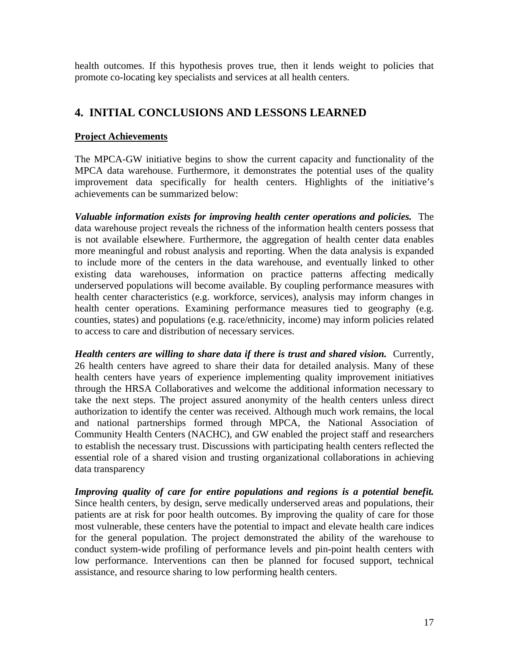health outcomes. If this hypothesis proves true, then it lends weight to policies that promote co-locating key specialists and services at all health centers.

## **4. INITIAL CONCLUSIONS AND LESSONS LEARNED**

#### **Project Achievements**

The MPCA-GW initiative begins to show the current capacity and functionality of the MPCA data warehouse. Furthermore, it demonstrates the potential uses of the quality improvement data specifically for health centers. Highlights of the initiative's achievements can be summarized below:

*Valuable information exists for improving health center operations and policies.* The data warehouse project reveals the richness of the information health centers possess that is not available elsewhere. Furthermore, the aggregation of health center data enables more meaningful and robust analysis and reporting. When the data analysis is expanded to include more of the centers in the data warehouse, and eventually linked to other existing data warehouses, information on practice patterns affecting medically underserved populations will become available. By coupling performance measures with health center characteristics (e.g. workforce, services), analysis may inform changes in health center operations. Examining performance measures tied to geography (e.g. counties, states) and populations (e.g. race/ethnicity, income) may inform policies related to access to care and distribution of necessary services.

*Health centers are willing to share data if there is trust and shared vision.* Currently, 26 health centers have agreed to share their data for detailed analysis. Many of these health centers have years of experience implementing quality improvement initiatives through the HRSA Collaboratives and welcome the additional information necessary to take the next steps. The project assured anonymity of the health centers unless direct authorization to identify the center was received. Although much work remains, the local and national partnerships formed through MPCA, the National Association of Community Health Centers (NACHC), and GW enabled the project staff and researchers to establish the necessary trust. Discussions with participating health centers reflected the essential role of a shared vision and trusting organizational collaborations in achieving data transparency

*Improving quality of care for entire populations and regions is a potential benefit.*  Since health centers, by design, serve medically underserved areas and populations, their patients are at risk for poor health outcomes. By improving the quality of care for those most vulnerable, these centers have the potential to impact and elevate health care indices for the general population. The project demonstrated the ability of the warehouse to conduct system-wide profiling of performance levels and pin-point health centers with low performance. Interventions can then be planned for focused support, technical assistance, and resource sharing to low performing health centers.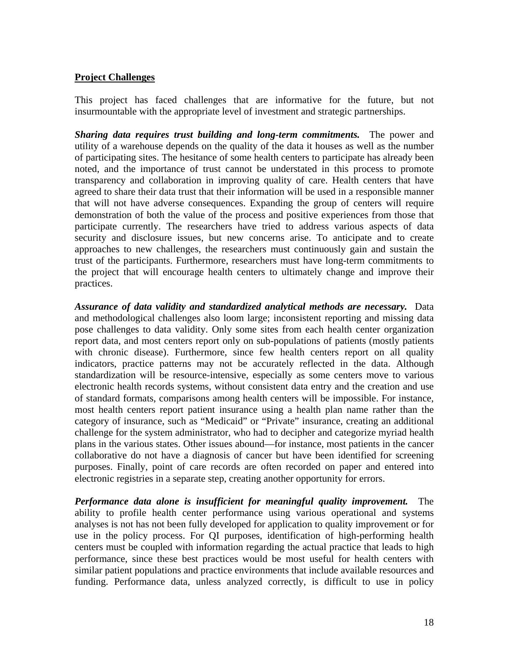#### **Project Challenges**

This project has faced challenges that are informative for the future, but not insurmountable with the appropriate level of investment and strategic partnerships.

*Sharing data requires trust building and long-term commitments.* The power and utility of a warehouse depends on the quality of the data it houses as well as the number of participating sites. The hesitance of some health centers to participate has already been noted, and the importance of trust cannot be understated in this process to promote transparency and collaboration in improving quality of care. Health centers that have agreed to share their data trust that their information will be used in a responsible manner that will not have adverse consequences. Expanding the group of centers will require demonstration of both the value of the process and positive experiences from those that participate currently. The researchers have tried to address various aspects of data security and disclosure issues, but new concerns arise. To anticipate and to create approaches to new challenges, the researchers must continuously gain and sustain the trust of the participants. Furthermore, researchers must have long-term commitments to the project that will encourage health centers to ultimately change and improve their practices.

*Assurance of data validity and standardized analytical methods are necessary.* Data and methodological challenges also loom large; inconsistent reporting and missing data pose challenges to data validity. Only some sites from each health center organization report data, and most centers report only on sub-populations of patients (mostly patients with chronic disease). Furthermore, since few health centers report on all quality indicators, practice patterns may not be accurately reflected in the data. Although standardization will be resource-intensive, especially as some centers move to various electronic health records systems, without consistent data entry and the creation and use of standard formats, comparisons among health centers will be impossible. For instance, most health centers report patient insurance using a health plan name rather than the category of insurance, such as "Medicaid" or "Private" insurance, creating an additional challenge for the system administrator, who had to decipher and categorize myriad health plans in the various states. Other issues abound—for instance, most patients in the cancer collaborative do not have a diagnosis of cancer but have been identified for screening purposes. Finally, point of care records are often recorded on paper and entered into electronic registries in a separate step, creating another opportunity for errors.

*Performance data alone is insufficient for meaningful quality improvement.* The ability to profile health center performance using various operational and systems analyses is not has not been fully developed for application to quality improvement or for use in the policy process. For QI purposes, identification of high-performing health centers must be coupled with information regarding the actual practice that leads to high performance, since these best practices would be most useful for health centers with similar patient populations and practice environments that include available resources and funding. Performance data, unless analyzed correctly, is difficult to use in policy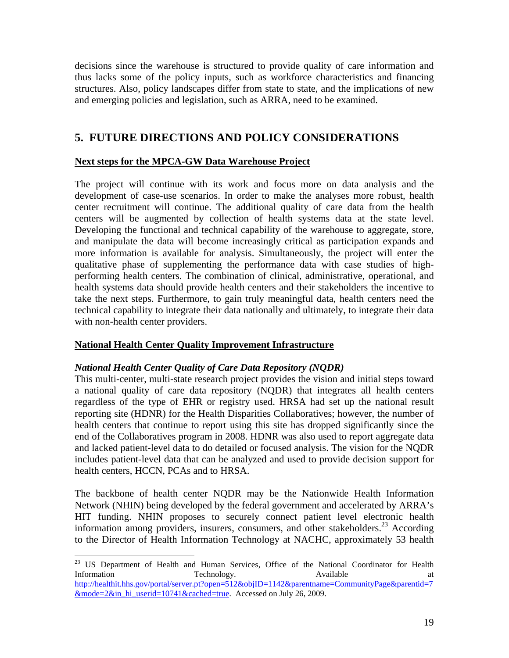decisions since the warehouse is structured to provide quality of care information and thus lacks some of the policy inputs, such as workforce characteristics and financing structures. Also, policy landscapes differ from state to state, and the implications of new and emerging policies and legislation, such as ARRA, need to be examined.

### **5. FUTURE DIRECTIONS AND POLICY CONSIDERATIONS**

#### **Next steps for the MPCA-GW Data Warehouse Project**

The project will continue with its work and focus more on data analysis and the development of case-use scenarios. In order to make the analyses more robust, health center recruitment will continue. The additional quality of care data from the health centers will be augmented by collection of health systems data at the state level. Developing the functional and technical capability of the warehouse to aggregate, store, and manipulate the data will become increasingly critical as participation expands and more information is available for analysis. Simultaneously, the project will enter the qualitative phase of supplementing the performance data with case studies of highperforming health centers. The combination of clinical, administrative, operational, and health systems data should provide health centers and their stakeholders the incentive to take the next steps. Furthermore, to gain truly meaningful data, health centers need the technical capability to integrate their data nationally and ultimately, to integrate their data with non-health center providers.

### **National Health Center Quality Improvement Infrastructure**

### *National Health Center Quality of Care Data Repository (NQDR)*

 $\overline{a}$ 

This multi-center, multi-state research project provides the vision and initial steps toward a national quality of care data repository (NQDR) that integrates all health centers regardless of the type of EHR or registry used. HRSA had set up the national result reporting site (HDNR) for the Health Disparities Collaboratives; however, the number of health centers that continue to report using this site has dropped significantly since the end of the Collaboratives program in 2008. HDNR was also used to report aggregate data and lacked patient-level data to do detailed or focused analysis. The vision for the NQDR includes patient-level data that can be analyzed and used to provide decision support for health centers, HCCN, PCAs and to HRSA.

The backbone of health center NQDR may be the Nationwide Health Information Network (NHIN) being developed by the federal government and accelerated by ARRA's HIT funding. NHIN proposes to securely connect patient level electronic health information among providers, insurers, consumers, and other stakeholders.<sup>23</sup> According to the Director of Health Information Technology at NACHC, approximately 53 health

<sup>&</sup>lt;sup>23</sup> US Department of Health and Human Services, Office of the National Coordinator for Health Information **Technology.** The Section of Technology. Available at the at http://healthit.hhs.gov/portal/server.pt?open=512&objID=1142&parentname=CommunityPage&parentid=7 &mode=2&in\_hi\_userid=10741&cached=true. Accessed on July 26, 2009.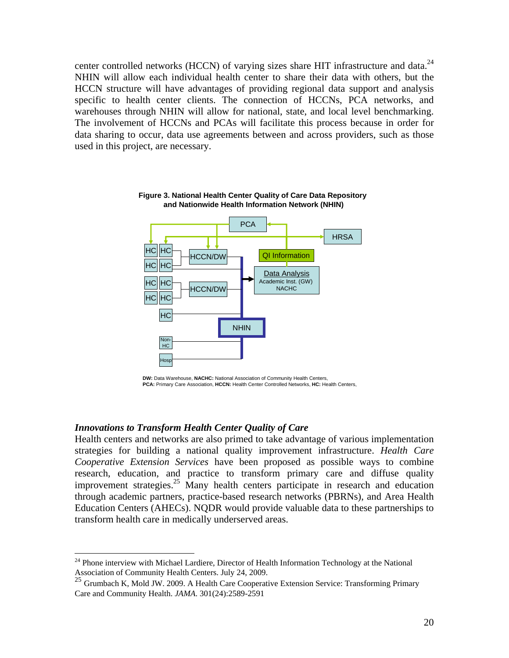center controlled networks (HCCN) of varying sizes share HIT infrastructure and data. $^{24}$ NHIN will allow each individual health center to share their data with others, but the HCCN structure will have advantages of providing regional data support and analysis specific to health center clients. The connection of HCCNs, PCA networks, and warehouses through NHIN will allow for national, state, and local level benchmarking. The involvement of HCCNs and PCAs will facilitate this process because in order for data sharing to occur, data use agreements between and across providers, such as those used in this project, are necessary.



**Figure 3. National Health Center Quality of Care Data Repository and Nationwide Health Information Network (NHIN)**

#### *Innovations to Transform Health Center Quality of Care*

<u>.</u>

Health centers and networks are also primed to take advantage of various implementation strategies for building a national quality improvement infrastructure. *Health Care Cooperative Extension Services* have been proposed as possible ways to combine research, education, and practice to transform primary care and diffuse quality improvement strategies.<sup>25</sup> Many health centers participate in research and education through academic partners, practice-based research networks (PBRNs), and Area Health Education Centers (AHECs). NQDR would provide valuable data to these partnerships to transform health care in medically underserved areas.

**DW:** Data Warehouse, **NACHC:** National Association of Community Health Centers, **PCA:** Primary Care Association, **HCCN:** Health Center Controlled Networks, **HC:** Health Centers,

 $24$  Phone interview with Michael Lardiere, Director of Health Information Technology at the National Association of Community Health Centers. July 24, 2009.

<sup>25</sup> Grumbach K, Mold JW. 2009. A Health Care Cooperative Extension Service: Transforming Primary Care and Community Health. *JAMA*. 301(24):2589-2591